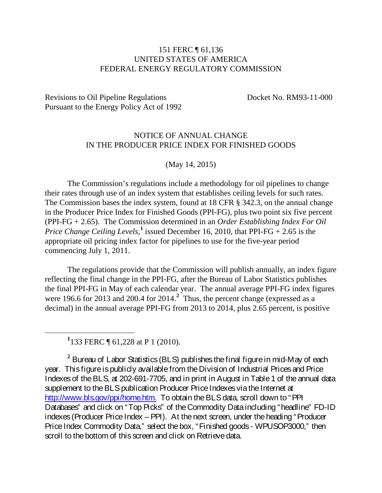## 151 FERC ¶ 61,136 UNITED STATES OF AMERICA FEDERAL ENERGY REGULATORY COMMISSION

Revisions to Oil Pipeline Regulations Docket No. RM93-11-000 Pursuant to the Energy Policy Act of 1992

## NOTICE OF ANNUAL CHANGE IN THE PRODUCER PRICE INDEX FOR FINISHED GOODS

(May 14, 2015)

The Commission's regulations include a methodology for oil pipelines to change their rates through use of an index system that establishes ceiling levels for such rates. The Commission bases the index system, found at 18 CFR § 342.3, on the annual change in the Producer Price Index for Finished Goods (PPI-FG), plus two point six five percent (PPI-FG + 2.65). The Commission determined in an *Order Establishing Index For Oil Price Change Ceiling Levels*,<sup>[1](#page-0-0)</sup> issued December 16, 2010, that PPI-FG + 2.65 is the appropriate oil pricing index factor for pipelines to use for the five-year period commencing July 1, 2011.

The regulations provide that the Commission will publish annually, an index figure reflecting the final change in the PPI-FG, after the Bureau of Labor Statistics publishes the final PPI-FG in May of each calendar year. The annual average PPI-FG index figures were 196.6 for [2](#page-0-1)013 and 200.4 for 2014.<sup>2</sup> Thus, the percent change (expressed as a decimal) in the annual average PPI-FG from 2013 to 2014, plus 2.65 percent, is positive

<span id="page-0-0"></span><u>1</u> <sup>1</sup>133 FERC ¶ 61,228 at P 1 (2010).

<span id="page-0-1"></span>**<sup>2</sup>** Bureau of Labor Statistics (BLS) publishes the final figure in mid-May of each year. This figure is publicly available from the Division of Industrial Prices and Price Indexes of the BLS, at 202-691-7705, and in print in August in Table 1 of the annual data supplement to the BLS publication Producer Price Indexes via the Internet at [http://www.bls.gov/ppi/home.htm.](http://www.bls.gov/ppi/home.htm) To obtain the BLS data, scroll down to "PPI Databases" and click on "Top Picks" of the Commodity Dataincluding "headline" FD-ID indexes (Producer Price Index – PPI). At the next screen, under the heading "Producer Price Index Commodity Data," select the box, "Finished goods - WPUSOP3000," then scroll to the bottom of this screen and click on Retrieve data.